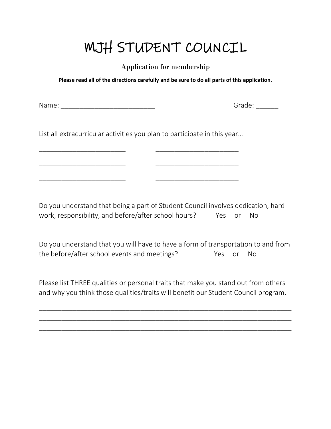## MJH STUDENT COUNCIL

Application for membership

**Please read all of the directions carefully and be sure to do all parts of this application.**

Name: \_\_\_\_\_\_\_\_\_\_\_\_\_\_\_\_\_\_\_\_\_\_\_\_\_ Grade: \_\_\_\_\_\_

List all extracurricular activities you plan to participate in this year…

\_\_\_\_\_\_\_\_\_\_\_\_\_\_\_\_\_\_\_\_\_\_\_ \_\_\_\_\_\_\_\_\_\_\_\_\_\_\_\_\_\_\_\_\_\_

\_\_\_\_\_\_\_\_\_\_\_\_\_\_\_\_\_\_\_\_\_\_\_ \_\_\_\_\_\_\_\_\_\_\_\_\_\_\_\_\_\_\_\_\_\_

\_\_\_\_\_\_\_\_\_\_\_\_\_\_\_\_\_\_\_\_\_\_\_ \_\_\_\_\_\_\_\_\_\_\_\_\_\_\_\_\_\_\_\_\_\_

Do you understand that being a part of Student Council involves dedication, hard work, responsibility, and before/after school hours? Yes or No

Do you understand that you will have to have a form of transportation to and from the before/after school events and meetings? The State or No

Please list THREE qualities or personal traits that make you stand out from others and why you think those qualities/traits will benefit our Student Council program.

\_\_\_\_\_\_\_\_\_\_\_\_\_\_\_\_\_\_\_\_\_\_\_\_\_\_\_\_\_\_\_\_\_\_\_\_\_\_\_\_\_\_\_\_\_\_\_\_\_\_\_\_\_\_\_\_\_\_\_\_\_\_\_\_\_\_\_ \_\_\_\_\_\_\_\_\_\_\_\_\_\_\_\_\_\_\_\_\_\_\_\_\_\_\_\_\_\_\_\_\_\_\_\_\_\_\_\_\_\_\_\_\_\_\_\_\_\_\_\_\_\_\_\_\_\_\_\_\_\_\_\_\_\_\_ \_\_\_\_\_\_\_\_\_\_\_\_\_\_\_\_\_\_\_\_\_\_\_\_\_\_\_\_\_\_\_\_\_\_\_\_\_\_\_\_\_\_\_\_\_\_\_\_\_\_\_\_\_\_\_\_\_\_\_\_\_\_\_\_\_\_\_